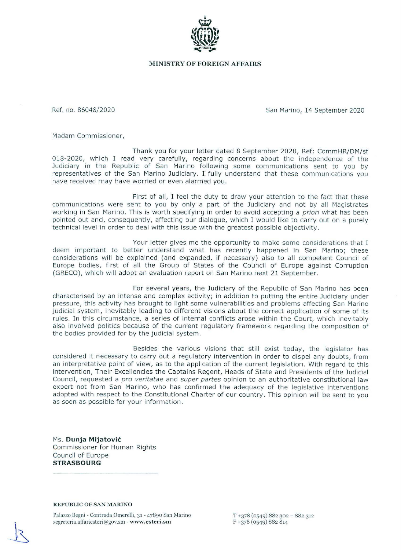

## **MINISTRY OF FOREIGN AFFAIRS**

Ref. no. 86048/2020 San Marino, 14 September 2020

Madam Commissioner,

Thank you for your letter dated 8 September 2020, Ref: CommHR/DM/sf 018-2020, which I read very carefully, regarding concerns about the independence of the Judiciary in the Republic of San Marino following some communications sent to you by representatives of the San Marino Judiciary. I fully understand that these communications you have received may have worried or even alarmed you.

First of all, I feel the duty to draw your attention to the fact that these communications were sent to you by only a part of the Judiciary and not by all Magistrates working in San Marino. This is worth specifying in order to avoid accepting a priori what has been pointed out and, consequently, affecting our dialogue, which I would like to carry out on a purely technical level in order to deal with this issue with the greatest possible objectivity.

Your letter gives me the opportunity to make some considerations that I deem important to better understand what has recently happened in San Marino; these considerations will be explained (and expanded, if necessary) also to all competent Council of Europe bodies, first of all the Group of States of the Council of Europe against Corruption (GRECO), which will adopt an evaluation report on San Marino next 21 September.

For several years, the Judiciary of the Republic of San Marino has been characterised by an intense and complex activity; in addition to putting the entire Judiciary under pressure, this activity has brought to light some vulnerabilities and problems affecting San Marino judicial system, inevitably leading to different visions about the correct application of some of its rules. In this circumstance, a series of internal conflicts arose within the Court, which inevitably also involved politics because of the current regulatory framework regarding the composition of the bodies provided for by the judicial system.

Besides the various visions that still exist today, the legislator has considered it necessary to carry out a regulatory intervention in order to dispel any doubts, from an interpretative point of view, as to the application of the current legislation. With regard to this intervention, Their Excellencies the Captains Regent, Heads of State and Presidents of the Judicial Council, requested a pro veritatae and super partes opinion to an authoritative constitutional law expert not from San Marino, who has confirmed the adequacy of the legislative interventions adopted with respect to the Constitutional Charter of our country. This opinion will be sent to you as soon as possible for your information.

Ms. **Dunja M ij a t ovic**  Commissioner for Human Rights Council of Europe **STRASBOURG** 

## **REPUBLIC OF SAN MARINO**

Palazzo Begni - Contrada Omerelli, 31 - 47890 San Marino segreteria.affariesteri@gov.sm - www.esteri.sm